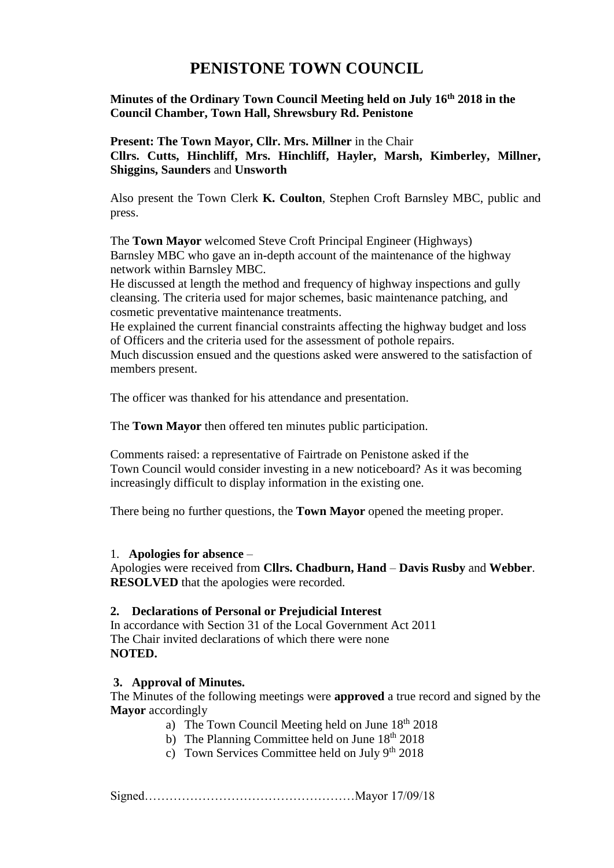# **PENISTONE TOWN COUNCIL**

# **Minutes of the Ordinary Town Council Meeting held on July 16th 2018 in the Council Chamber, Town Hall, Shrewsbury Rd. Penistone**

**Present: The Town Mayor, Cllr. Mrs. Millner** in the Chair **Cllrs. Cutts, Hinchliff, Mrs. Hinchliff, Hayler, Marsh, Kimberley, Millner, Shiggins, Saunders** and **Unsworth**

Also present the Town Clerk **K. Coulton**, Stephen Croft Barnsley MBC, public and press.

 The **Town Mayor** welcomed Steve Croft Principal Engineer (Highways) Barnsley MBC who gave an in-depth account of the maintenance of the highway network within Barnsley MBC.

 He discussed at length the method and frequency of highway inspections and gully cleansing. The criteria used for major schemes, basic maintenance patching, and cosmetic preventative maintenance treatments.

 He explained the current financial constraints affecting the highway budget and loss of Officers and the criteria used for the assessment of pothole repairs. Much discussion ensued and the questions asked were answered to the satisfaction of members present.

The officer was thanked for his attendance and presentation.

The **Town Mayor** then offered ten minutes public participation.

Comments raised: a representative of Fairtrade on Penistone asked if the Town Council would consider investing in a new noticeboard? As it was becoming increasingly difficult to display information in the existing one.

There being no further questions, the **Town Mayor** opened the meeting proper.

### 1. **Apologies for absence** –

Apologies were received from **Cllrs. Chadburn, Hand** – **Davis Rusby** and **Webber**. **RESOLVED** that the apologies were recorded.

### **2. Declarations of Personal or Prejudicial Interest**

In accordance with Section 31 of the Local Government Act 2011 The Chair invited declarations of which there were none **NOTED.**

### **3. Approval of Minutes.**

The Minutes of the following meetings were **approved** a true record and signed by the **Mayor** accordingly

- a) The Town Council Meeting held on June  $18<sup>th</sup> 2018$
- b) The Planning Committee held on June  $18<sup>th</sup> 2018$
- c) Town Services Committee held on July  $9<sup>th</sup> 2018$

Signed……………………………………………Mayor 17/09/18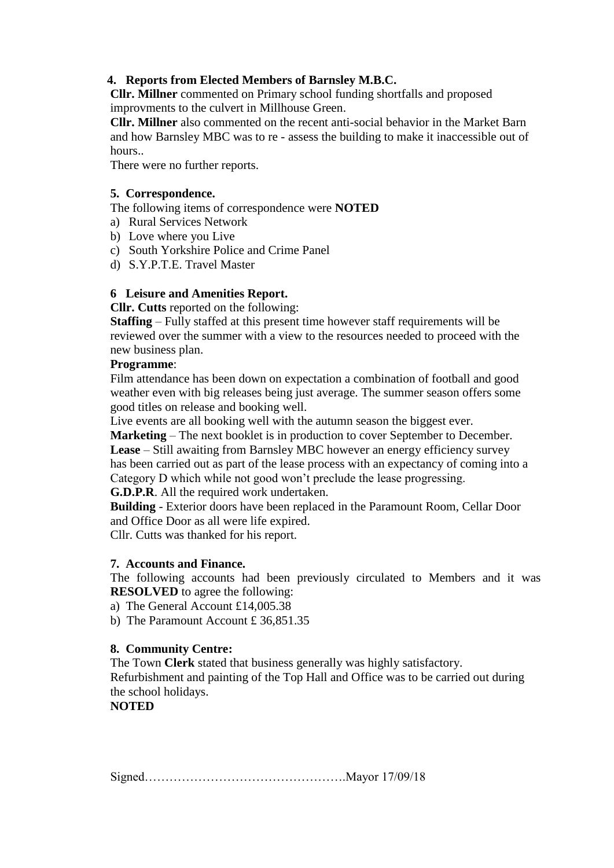# **4. Reports from Elected Members of Barnsley M.B.C.**

**Cllr. Millner** commented on Primary school funding shortfalls and proposed improvments to the culvert in Millhouse Green.

**Cllr. Millner** also commented on the recent anti-social behavior in the Market Barn and how Barnsley MBC was to re - assess the building to make it inaccessible out of hours..

There were no further reports.

## **5. Correspondence.**

The following items of correspondence were **NOTED**

- a) Rural Services Network
- b) Love where you Live
- c) South Yorkshire Police and Crime Panel
- d) S.Y.P.T.E. Travel Master

## **6 Leisure and Amenities Report.**

**Cllr. Cutts** reported on the following:

**Staffing** – Fully staffed at this present time however staff requirements will be reviewed over the summer with a view to the resources needed to proceed with the new business plan.

## **Programme**:

Film attendance has been down on expectation a combination of football and good weather even with big releases being just average. The summer season offers some good titles on release and booking well.

Live events are all booking well with the autumn season the biggest ever.

**Marketing** – The next booklet is in production to cover September to December. **Lease** – Still awaiting from Barnsley MBC however an energy efficiency survey has been carried out as part of the lease process with an expectancy of coming into a Category D which while not good won't preclude the lease progressing.

**G.D.P.R**. All the required work undertaken.

**Building** - Exterior doors have been replaced in the Paramount Room, Cellar Door and Office Door as all were life expired.

Cllr. Cutts was thanked for his report.

## **7. Accounts and Finance.**

The following accounts had been previously circulated to Members and it was **RESOLVED** to agree the following:

a) The General Account £14,005.38

b) The Paramount Account £ 36,851.35

## **8. Community Centre:**

The Town **Clerk** stated that business generally was highly satisfactory.

Refurbishment and painting of the Top Hall and Office was to be carried out during the school holidays.

# **NOTED**

Signed………………………………………….Mayor 17/09/18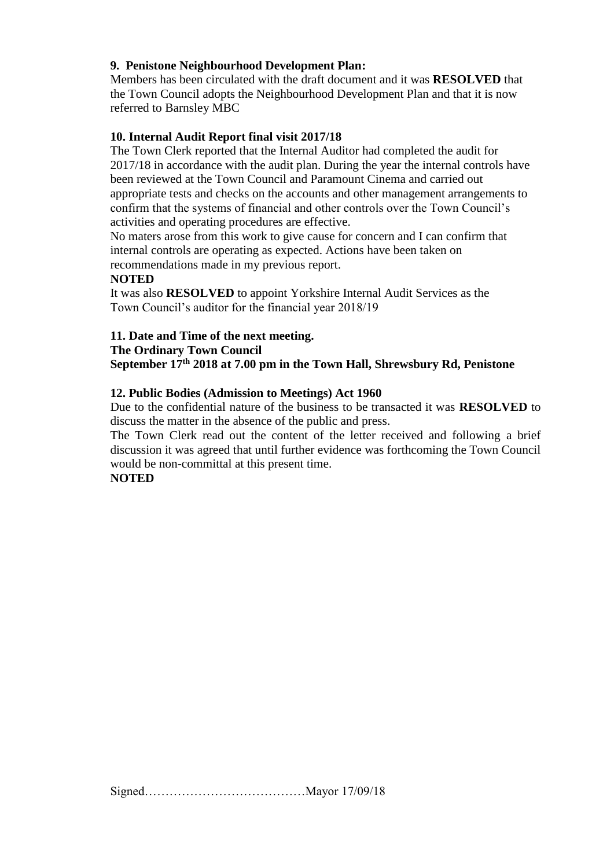## **9. Penistone Neighbourhood Development Plan:**

Members has been circulated with the draft document and it was **RESOLVED** that the Town Council adopts the Neighbourhood Development Plan and that it is now referred to Barnsley MBC

## **10. Internal Audit Report final visit 2017/18**

The Town Clerk reported that the Internal Auditor had completed the audit for 2017/18 in accordance with the audit plan. During the year the internal controls have been reviewed at the Town Council and Paramount Cinema and carried out appropriate tests and checks on the accounts and other management arrangements to confirm that the systems of financial and other controls over the Town Council's activities and operating procedures are effective.

No maters arose from this work to give cause for concern and I can confirm that internal controls are operating as expected. Actions have been taken on recommendations made in my previous report.

### **NOTED**

It was also **RESOLVED** to appoint Yorkshire Internal Audit Services as the Town Council's auditor for the financial year 2018/19

### **11. Date and Time of the next meeting.**

#### **The Ordinary Town Council**

**September 17th 2018 at 7.00 pm in the Town Hall, Shrewsbury Rd, Penistone**

### **12. Public Bodies (Admission to Meetings) Act 1960**

Due to the confidential nature of the business to be transacted it was **RESOLVED** to discuss the matter in the absence of the public and press.

The Town Clerk read out the content of the letter received and following a brief discussion it was agreed that until further evidence was forthcoming the Town Council would be non-committal at this present time.

### **NOTED**

Signed…………………………………Mayor 17/09/18